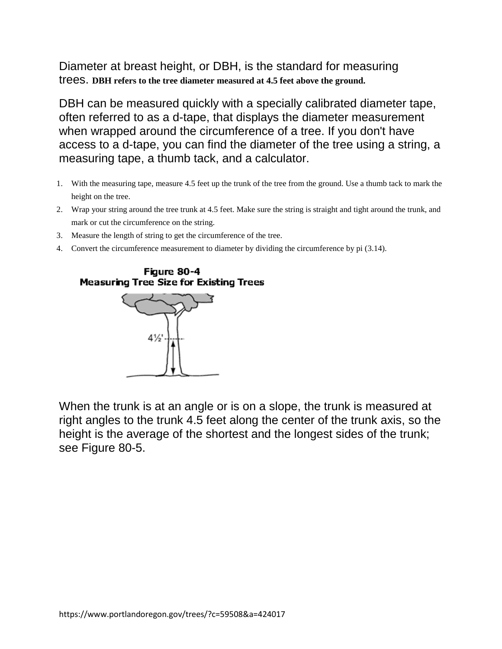Diameter at breast height, or DBH, is the standard for measuring trees. **DBH refers to the tree diameter measured at 4.5 feet above the ground.**

DBH can be measured quickly with a specially calibrated diameter tape, often referred to as a d-tape, that displays the diameter measurement when wrapped around the circumference of a tree. If you don't have access to a d-tape, you can find the diameter of the tree using a string, a measuring tape, a thumb tack, and a calculator.

- 1. With the measuring tape, measure 4.5 feet up the trunk of the tree from the ground. Use a thumb tack to mark the height on the tree.
- 2. Wrap your string around the tree trunk at 4.5 feet. Make sure the string is straight and tight around the trunk, and mark or cut the circumference on the string.
- 3. Measure the length of string to get the circumference of the tree.
- 4. Convert the circumference measurement to diameter by dividing the circumference by pi (3.14).

## Figure 80-4 **Measuring Tree Size for Existing Trees**



When the trunk is at an angle or is on a slope, the trunk is measured at right angles to the trunk 4.5 feet along the center of the trunk axis, so the height is the average of the shortest and the longest sides of the trunk; see Figure 80-5.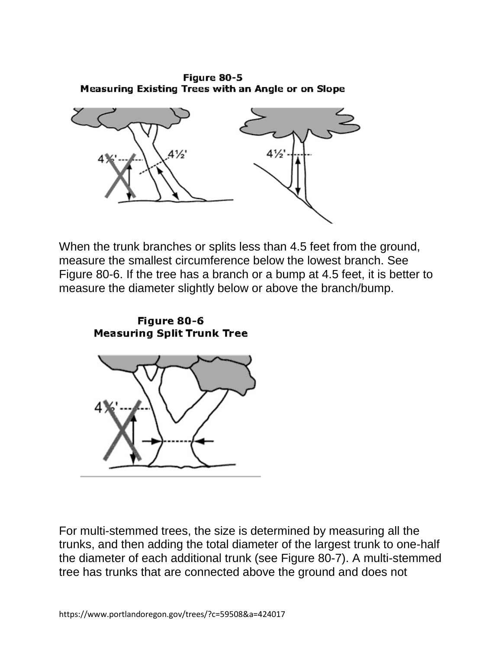Figure 80-5 Measuring Existing Trees with an Angle or on Slope



When the trunk branches or splits less than 4.5 feet from the ground, measure the smallest circumference below the lowest branch. See Figure 80-6. If the tree has a branch or a bump at 4.5 feet, it is better to measure the diameter slightly below or above the branch/bump.



For multi-stemmed trees, the size is determined by measuring all the trunks, and then adding the total diameter of the largest trunk to one-half the diameter of each additional trunk (see Figure 80-7). A multi-stemmed tree has trunks that are connected above the ground and does not